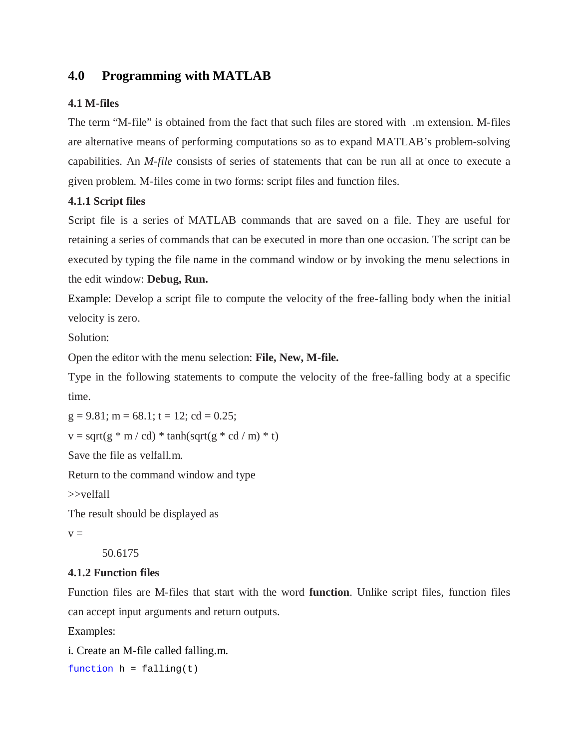# **4.0 Programming with MATLAB**

## **4.1 M-files**

The term "M-file" is obtained from the fact that such files are stored with .m extension. M-files are alternative means of performing computations so as to expand MATLAB's problem-solving capabilities. An *M-file* consists of series of statements that can be run all at once to execute a given problem. M-files come in two forms: script files and function files.

## **4.1.1 Script files**

Script file is a series of MATLAB commands that are saved on a file. They are useful for retaining a series of commands that can be executed in more than one occasion. The script can be executed by typing the file name in the command window or by invoking the menu selections in the edit window: **Debug, Run.**

Example: Develop a script file to compute the velocity of the free-falling body when the initial velocity is zero.

Solution:

Open the editor with the menu selection: **File, New, M-file.** 

Type in the following statements to compute the velocity of the free-falling body at a specific time.

 $g = 9.81$ ; m = 68.1; t = 12; cd = 0.25;

```
v = sqrt(g * m / cd) * tanh(sqrt(g * cd / m) * t)
```
Save the file as velfall.m.

Return to the command window and type

>>velfall

The result should be displayed as

 $v =$ 

50.6175

### **4.1.2 Function files**

Function files are M-files that start with the word **function**. Unlike script files, function files can accept input arguments and return outputs.

Examples:

i. Create an M-file called falling.m.

function  $h = \text{falling}(t)$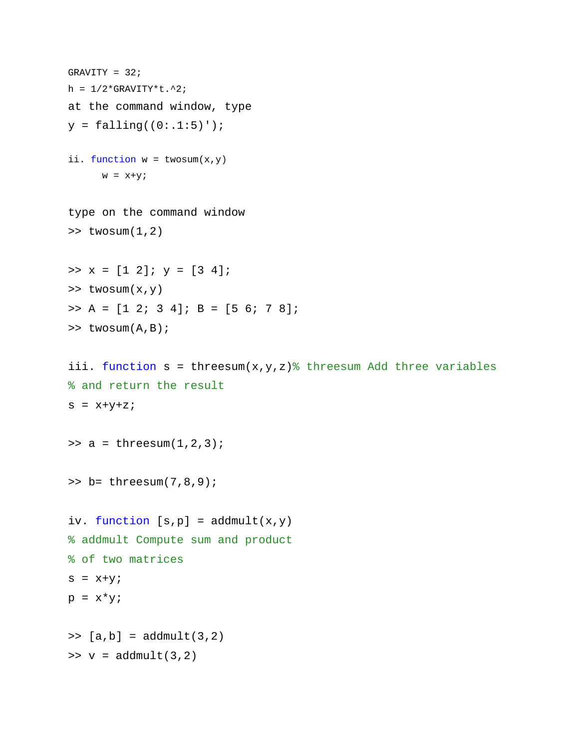```
GRAVITY = 32;
h = 1/2*GRAVITY*t.^2;
at the command window, type
y = falling((0:1:5)');
ii. function w = twosum(x,y)w = x+y;type on the command window
\Rightarrow twosum(1,2)\Rightarrow x = [1 2]; y = [3 4];
>> twosum(x,y)
\Rightarrow A = [1 2; 3 4]; B = [5 6; 7 8];
>> twosum(A, B);
iii. function s = threesum(x,y,z) threesum Add three variables
% and return the result
s = x+y+z;>> a = threesum(1,2,3);>> b= threesum(7,8,9);
iv. function [s,p] = addmult(x,y)% addmult Compute sum and product
% of two matrices
s = x+y;p = x * y;\Rightarrow [a,b] = addmult(3,2)
>> v = \text{addmult}(3,2)
```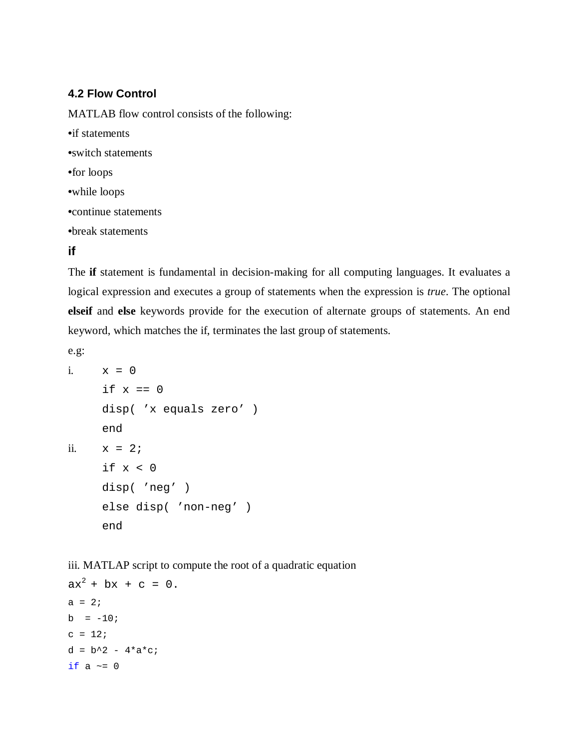## **4.2 Flow Control**

MATLAB flow control consists of the following:

**•**if statements **•**switch statements **•**for loops **•**while loops **•**continue statements **•**break statements

# **if**

The **if** statement is fundamental in decision-making for all computing languages. It evaluates a logical expression and executes a group of statements when the expression is *true*. The optional **elseif** and **else** keywords provide for the execution of alternate groups of statements. An end keyword, which matches the if, terminates the last group of statements.

e.g:

```
i. x = 0if x == 0disp( 'x equals zero' )
    end
ii. x = 2iif x < 0disp( 'neg' )
     else disp( 'non-neg' )
     end
```
iii. MATLAP script to compute the root of a quadratic equation

```
ax^{2} + bx + c = 0.a = 2ib = -10;c = 12;d = b^2 - 4*ac;if a \sim = 0
```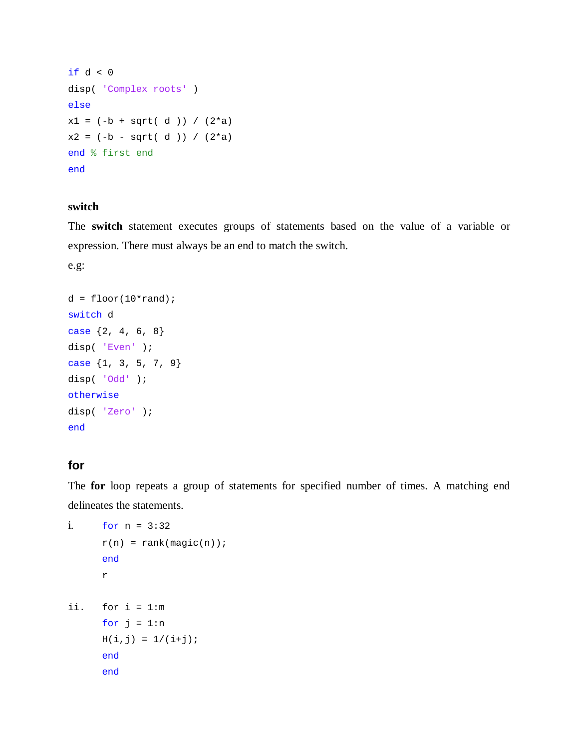```
if d < 0disp( 'Complex roots' )
else
x1 = (-b + sqrt(d))) / (2*a)x2 = (-b - sqrt(d)) / (2*a)end % first end 
end
```
### **switch**

The **switch** statement executes groups of statements based on the value of a variable or expression. There must always be an end to match the switch.

e.g:

```
d = floor(10*rand);switch d
case {2, 4, 6, 8}
disp( 'Even' );
case {1, 3, 5, 7, 9}
disp( 'Odd' );
otherwise
disp( 'Zero' );
end
```
## **for**

The **for** loop repeats a group of statements for specified number of times. A matching end delineates the statements.

```
i. for n = 3:32
     r(n) = rank(magic(n));end
     r
ii. for i = 1:m
     for j = 1:nH(i,j) = 1/(i+j);end
     end
```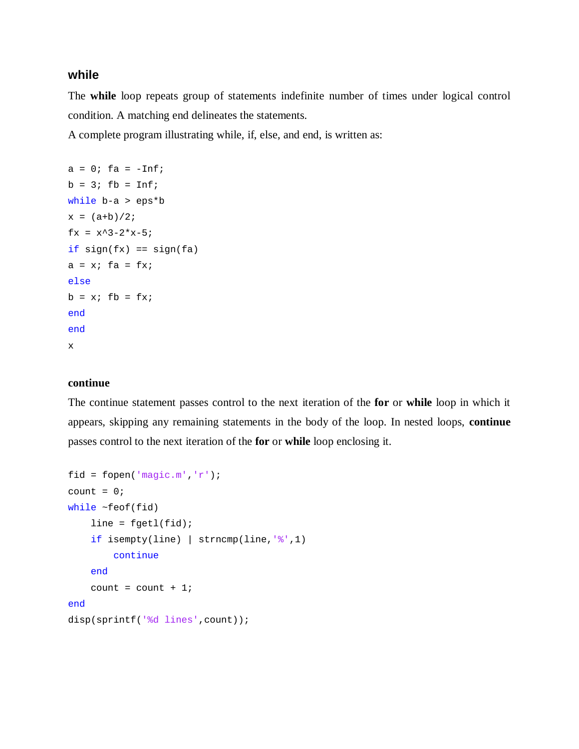## **while**

The **while** loop repeats group of statements indefinite number of times under logical control condition. A matching end delineates the statements.

A complete program illustrating while, if, else, and end, is written as:

```
a = 0; fa = -\text{Inf};b = 3; fb = Inf;
while b-a > eps*b
x = (a+b)/2;fx = x^3 - 2*x - 5;if sign(fx) == sign(fa)a = x; fa = fx;
else
b = x; fb = fx;
end
end
x
```
### **continue**

The continue statement passes control to the next iteration of the **for** or **while** loop in which it appears, skipping any remaining statements in the body of the loop. In nested loops, **continue** passes control to the next iteration of the **for** or **while** loop enclosing it.

```
fid = fopen('magic.m','r');
count = 0;while ~\text{-feof}(fid)
    line = fgetl(fid);if isempty(line) | strncmp(line,\sqrt[8]{7}, 1)
          continue
     end
    count = count + 1;end
disp(sprintf('%d lines',count));
```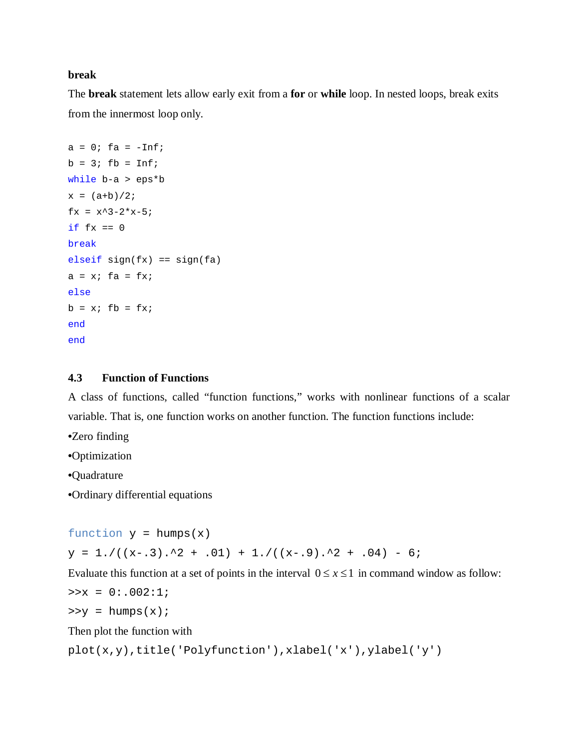### **break**

The **break** statement lets allow early exit from a **for** or **while** loop. In nested loops, break exits from the innermost loop only.

```
a = 0; fa = -\text{Inf};b = 3; fb = Inf;while b-a > eps*b
x = (a+b)/2;fx = x^3 - 2*x - 5;if fx == 0break
elseif sign(fx) == sign(fa)a = x; fa = fx;
else
b = x; fb = fx;
end
end
```
#### **4.3 Function of Functions**

A class of functions, called "function functions," works with nonlinear functions of a scalar variable. That is, one function works on another function. The function functions include:

**•**Zero finding

**•**Optimization

**•**Quadrature

**•**Ordinary differential equations

function  $y = \text{humps}(x)$ 

 $y = 1. / ((x-.3).^2 + .01) + 1. / ((x-.9).^2 + .04) - 6;$ 

Evaluate this function at a set of points in the interval  $0 \le x \le 1$  in command window as follow:

```
>>x = 0: .002:1;
```
 $>>y = \text{humps}(x);$ 

Then plot the function with

```
plot(x,y),title('Polyfunction'),xlabel('x'),ylabel('y')
```